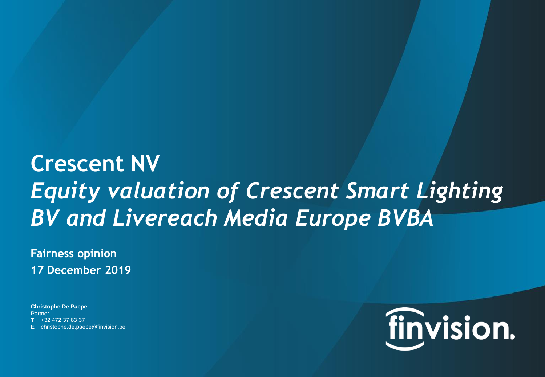# **Crescent NV** *Equity valuation of Crescent Smart Lighting BV and Livereach Media Europe BVBA*

**Fairness opinion 17 December 2019**

**Christophe De Paepe Partner T** +32 472 37 83 37 **E** christophe.de.paepe@finvision.be

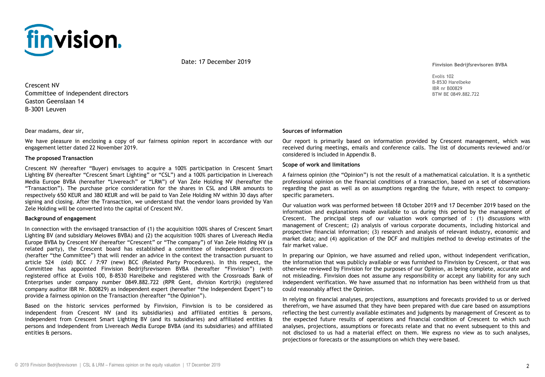

Date: 17 December 2019

Crescent NV Committee of independent directors Gaston Geenslaan 14 B-3001 Leuven

Dear madams, dear sir,

We have pleasure in enclosing a copy of our fairness opinion report in accordance with our engagement letter dated 22 November 2019.

#### **The proposed Transaction**

Crescent NV (hereafter "Buyer) envisages to acquire a 100% participation in Crescent Smart Lighting BV (hereafter "Crescent Smart Lighting" or "CSL") and a 100% participation in Livereach Media Europe BVBA (hereafter "Livereach" or "LRM") of Van Zele Holding NV (hereafter the "Transaction"). The purchase price consideration for the shares in CSL and LRM amounts to respectively 650 KEUR and 380 KEUR and will be paid to Van Zele Holding NV within 30 days after signing and closing. After the Transaction, we understand that the vendor loans provided by Van Zele Holding will be converted into the capital of Crescent NV.

#### **Background of engagement**

In connection with the envisaged transaction of (1) the acquisition 100% shares of Crescent Smart Lighting BV (and subsidiary Melowes BVBA) and (2) the acquisition 100% shares of Livereach Media Europe BVBA by Crescent NV (hereafter "Crescent" or "The company") of Van Zele Holding NV (a related party), the Crescent board has established a committee of independent directors (herafter "the Committee") that will render an advice in the context the transaction pursuant to article 524 (old) BCC / 7:97 (new) BCC (Related Party Procedures). In this respect, the Committee has appointed Finvision Bedrijfsrevisoren BVBA (hereafter "Finvision") (with registered office at Evolis 100, B-8530 Harelbeke and registered with the Crossroads Bank of Enterprises under company number 0849.882.722 (RPR Gent, division Kortrijk) (registered company auditor IBR Nr. B00829) as independent expert (hereafter "the Independent Expert") to provide a fairness opinion on the Transaction (hereafter "the Opinion").

Based on the historic services performed by Finvision, Finvision is to be considered as independent from Crescent NV (and its subsidiaries) and affiliated entities & persons, independent from Crescent Smart Lighting BV (and its subsidiaries) and affiliated entities & persons and independent from Livereach Media Europe BVBA (and its subsidiaries) and affiliated entities & persons.

**Finvision Bedrijfsrevisoren BVBA**

Evolis 102 B-8530 Harelbeke IBR nr B00829 BTW BE 0849.882.722

#### **Sources of information**

Our report is primarily based on information provided by Crescent management, which was received during meetings, emails and conference calls. The list of documents reviewed and/or considered is included in Appendix B.

#### **Scope of work and limitations**

A fairness opinion (the "Opinion") is not the result of a mathematical calculation. It is a synthetic professional opinion on the financial conditions of a transaction, based on a set of observations regarding the past as well as on assumptions regarding the future, with respect to companyspecific parameters.

Our valuation work was performed between 18 October 2019 and 17 December 2019 based on the information and explanations made available to us during this period by the management of Crescent. The principal steps of our valuation work comprised of : (1) discussions with management of Crescent; (2) analysis of various corporate documents, including historical and prospective financial information; (3) research and analysis of relevant industry, economic and market data; and (4) application of the DCF and multiples method to develop estimates of the fair market value.

In preparing our Opinion, we have assumed and relied upon, without independent verification, the information that was publicly available or was furnished to Finvision by Crescent, or that was otherwise reviewed by Finvision for the purposes of our Opinion, as being complete, accurate and not misleading. Finvision does not assume any responsibility or accept any liability for any such independent verification. We have assumed that no information has been withheld from us that could reasonably affect the Opinion.

In relying on financial analyses, projections, assumptions and forecasts provided to us or derived therefrom, we have assumed that they have been prepared with due care based on assumptions reflecting the best currently available estimates and judgments by management of Crescent as to the expected future results of operations and financial condition of Crescent to which such analyses, projections, assumptions or forecasts relate and that no event subsequent to this and not disclosed to us had a material effect on them. We express no view as to such analyses, projections or forecasts or the assumptions on which they were based.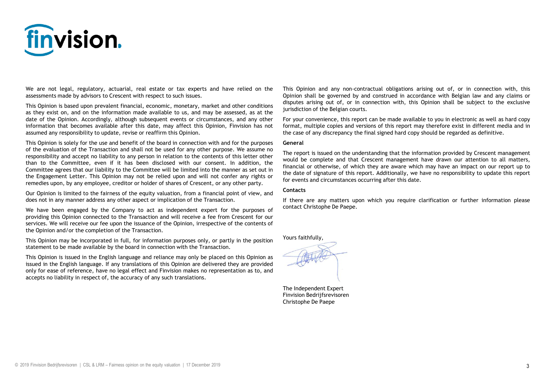

We are not legal, regulatory, actuarial, real estate or tax experts and have relied on the assessments made by advisors to Crescent with respect to such issues.

This Opinion is based upon prevalent financial, economic, monetary, market and other conditions as they exist on, and on the information made available to us, and may be assessed, as at the date of the Opinion. Accordingly, although subsequent events or circumstances, and any other information that becomes available after this date, may affect this Opinion, Finvision has not assumed any responsibility to update, revise or reaffirm this Opinion.

This Opinion is solely for the use and benefit of the board in connection with and for the purposes of the evaluation of the Transaction and shall not be used for any other purpose. We assume no responsibility and accept no liability to any person in relation to the contents of this letter other than to the Committee, even if it has been disclosed with our consent. In addition, the Committee agrees that our liability to the Committee will be limited into the manner as set out in the Engagement Letter. This Opinion may not be relied upon and will not confer any rights or remedies upon, by any employee, creditor or holder of shares of Crescent, or any other party.

Our Opinion is limited to the fairness of the equity valuation, from a financial point of view, and does not in any manner address any other aspect or implication of the Transaction.

We have been engaged by the Company to act as independent expert for the purposes of providing this Opinion connected to the Transaction and will receive a fee from Crescent for our services. We will receive our fee upon the issuance of the Opinion, irrespective of the contents of the Opinion and/or the completion of the Transaction.

This Opinion may be incorporated in full, for information purposes only, or partly in the position statement to be made available by the board in connection with the Transaction.

This Opinion is issued in the English language and reliance may only be placed on this Opinion as issued in the English language. If any translations of this Opinion are delivered they are provided only for ease of reference, have no legal effect and Finvision makes no representation as to, and accepts no liability in respect of, the accuracy of any such translations.

This Opinion and any non-contractual obligations arising out of, or in connection with, this Opinion shall be governed by and construed in accordance with Belgian law and any claims or disputes arising out of, or in connection with, this Opinion shall be subject to the exclusive jurisdiction of the Belgian courts.

For your convenience, this report can be made available to you in electronic as well as hard copy format, multiple copies and versions of this report may therefore exist in different media and in the case of any discrepancy the final signed hard copy should be regarded as definitive.

#### **General**

The report is issued on the understanding that the information provided by Crescent management would be complete and that Crescent management have drawn our attention to all matters, financial or otherwise, of which they are aware which may have an impact on our report up to the date of signature of this report. Additionally, we have no responsibility to update this report for events and circumstances occurring after this date.

#### **Contacts**

If there are any matters upon which you require clarification or further information please contact Christophe De Paepe.

Yours faithfully,

The Independent Expert Finvision Bedrijfsrevisoren Christophe De Paepe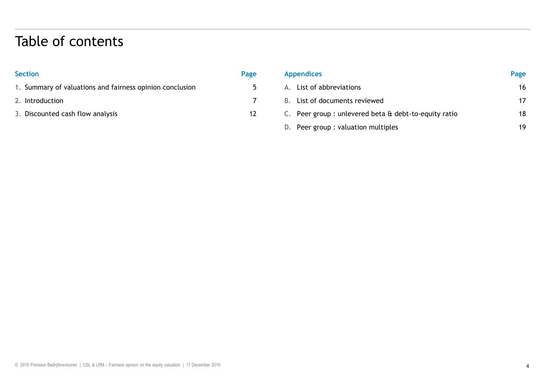# Table of contents

| <b>Section</b>                                           | Page |
|----------------------------------------------------------|------|
| 1. Summary of valuations and fairness opinion conclusion | 5    |
| 2. Introduction                                          |      |
| 3. Discounted cash flow analysis                         | 17   |
|                                                          |      |

| <b>Appendices</b>                                           | Page |
|-------------------------------------------------------------|------|
| A. List of abbreviations                                    | 16   |
| List of documents reviewed<br>B.                            | 17   |
| C. Peer group: unlevered beta $\alpha$ debt-to-equity ratio | 18   |
| D. Peer group : valuation multiples                         | 19   |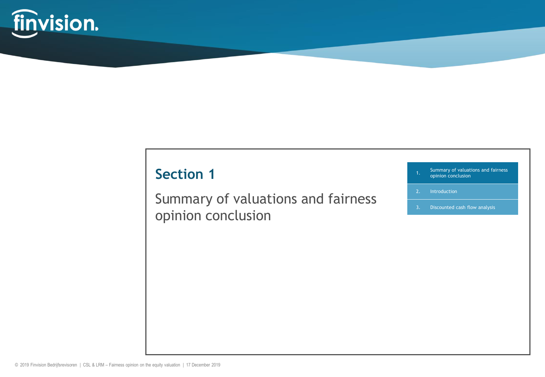

# **Section 1**

Summary of valuations and fairness opinion conclusion

| 1.             | Summary of valuations and fairness<br>opinion conclusion |  |
|----------------|----------------------------------------------------------|--|
| 2 <sup>1</sup> | Introduction                                             |  |
| 3.             | Discounted cash flow analysis                            |  |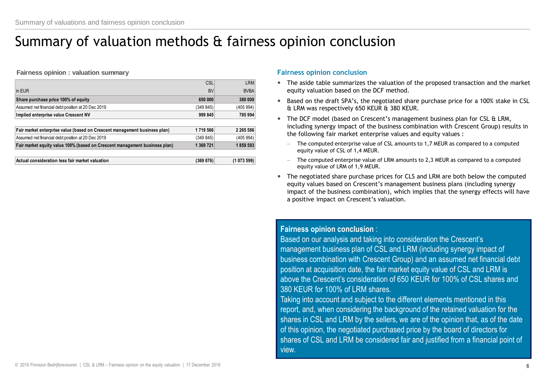# Summary of valuation methods & fairness opinion conclusion

**Fairness opinion : valuation summary**

|                                                                            | CSL       | <b>LRM</b>  |
|----------------------------------------------------------------------------|-----------|-------------|
| in EUR                                                                     | <b>BV</b> | <b>BVBA</b> |
| Share purchase price 100% of equity                                        | 650 000   | 380 000     |
| Assumed net financial debt position at 20 Dec 2019                         | (349 845) | (405 994)   |
| Implied enterprise value Crescent NV                                       | 999 845   | 785 994     |
|                                                                            |           |             |
| Fair market enterprise value (based on Crescent management business plan)  | 1719 566  | 2 265 586   |
| Assumed net financial debt position at 20 Dec 2019                         | (349 845) | (405 994)   |
| Fair market equity value 100% (based on Crescent management business plan) | 1 369 721 | 1859 593    |
|                                                                            |           |             |
| Actual consideration less fair market valuation                            | (369 876) | (1073599)   |

### **Fairness opinion conclusion**

- The aside table summarizes the valuation of the proposed transaction and the market equity valuation based on the DCF method.
- Based on the draft SPA's, the negotiated share purchase price for a 100% stake in CSL & LRM was respectively 650 KEUR & 380 KEUR.
- The DCF model (based on Crescent's management business plan for CSL & LRM, including synergy impact of the business combination with Crescent Group) results in the following fair market enterprise values and equity values :
	- The computed enterprise value of CSL amounts to 1,7 MEUR as compared to a computed equity value of CSL of 1,4 MEUR.
	- The computed enterprise value of LRM amounts to 2,3 MEUR as compared to a computed equity value of LRM of 1,9 MEUR.
- The negotiated share purchase prices for CLS and LRM are both below the computed equity values based on Crescent's management business plans (including synergy impact of the business combination), which implies that the synergy effects will have a positive impact on Crescent's valuation.

### **Fairness opinion conclusion** :

Based on our analysis and taking into consideration the Crescent's management business plan of CSL and LRM (including synergy impact of business combination with Crescent Group) and an assumed net financial debt position at acquisition date, the fair market equity value of CSL and LRM is above the Crescent's consideration of 650 KEUR for 100% of CSL shares and 380 KEUR for 100% of LRM shares.

Taking into account and subject to the different elements mentioned in this report, and, when considering the background of the retained valuation for the shares in CSL and LRM by the sellers, we are of the opinion that, as of the date of this opinion, the negotiated purchased price by the board of directors for shares of CSL and LRM be considered fair and justified from a financial point of view.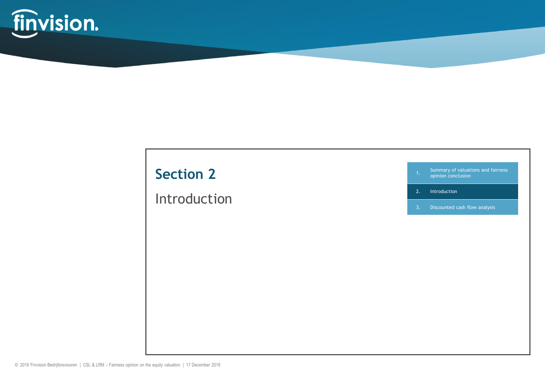

# **Section 2**

# Introduction

1. Summary of valuations and fairness opinion conclusion

2. Introduction

3. Discounted cash flow analysis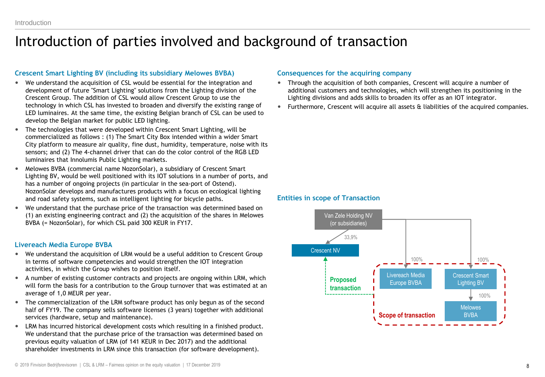### Introduction of parties involved and background of transaction

### **Crescent Smart Lighting BV (including its subsidiary Melowes BVBA)**

- We understand the acquisition of CSL would be essential for the integration and development of future "Smart Lighting" solutions from the Lighting division of the Crescent Group. The addition of CSL would allow Crescent Group to use the technology in which CSL has invested to broaden and diversify the existing range of LED luminaires. At the same time, the existing Belgian branch of CSL can be used to develop the Belgian market for public LED lighting.
- The technologies that were developed within Crescent Smart Lighting, will be commercialized as follows : (1) The Smart City Box intended within a wider Smart City platform to measure air quality, fine dust, humidity, temperature, noise with its sensors; and (2) The 4-channel driver that can do the color control of the RGB LED luminaires that Innolumis Public Lighting markets.
- Melowes BVBA (commercial name NozonSolar), a subsidiary of Crescent Smart Lighting BV, would be well positioned with its IOT solutions in a number of ports, and has a number of ongoing projects (in particular in the sea-port of Ostend). NozonSolar develops and manufactures products with a focus on ecological lighting and road safety systems, such as intelligent lighting for bicycle paths.
- We understand that the purchase price of the transaction was determined based on (1) an existing engineering contract and (2) the acquisition of the shares in Melowes BVBA (= NozonSolar), for which CSL paid 300 KEUR in FY17.

### **Livereach Media Europe BVBA**

- We understand the acquisition of LRM would be a useful addition to Crescent Group in terms of software competencies and would strengthen the IOT integration activities, in which the Group wishes to position itself.
- A number of existing customer contracts and projects are ongoing within LRM, which will form the basis for a contribution to the Group turnover that was estimated at an average of 1,0 MEUR per year.
- The commercialization of the LRM software product has only begun as of the second half of FY19. The company sells software licenses (3 years) together with additional services (hardware, setup and maintenance).
- LRM has incurred historical development costs which resulting in a finished product. We understand that the purchase price of the transaction was determined based on previous equity valuation of LRM (of 141 KEUR in Dec 2017) and the additional shareholder investments in LRM since this transaction (for software development).

### **Consequences for the acquiring company**

- Through the acquisition of both companies, Crescent will acquire a number of additional customers and technologies, which will strengthen its positioning in the Lighting divisions and adds skills to broaden its offer as an IOT integrator.
- Furthermore, Crescent will acquire all assets & liabilities of the acquired companies.

### **Entities in scope of Transaction**

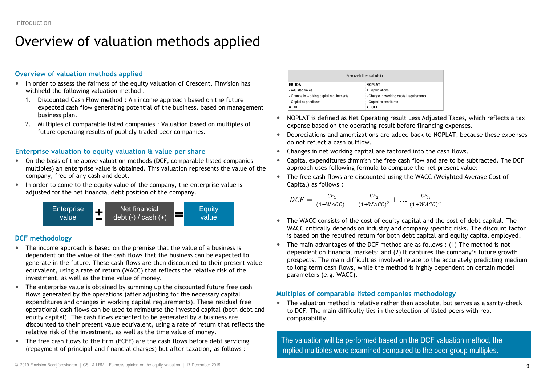# Overview of valuation methods applied

### **Overview of valuation methods applied**

- In order to assess the fairness of the equity valuation of Crescent, Finvision has withheld the following valuation method :
	- 1. Discounted Cash Flow method : An income approach based on the future expected cash flow generating potential of the business, based on management business plan.
	- 2. Multiples of comparable listed companies : Valuation based on multiples of future operating results of publicly traded peer companies.

### **Enterprise valuation to equity valuation & value per share**

- On the basis of the above valuation methods (DCF, comparable listed companies multiples) an enterprise value is obtained. This valuation represents the value of the company, free of any cash and debt.
- In order to come to the equity value of the company, the enterprise value is adjusted for the net financial debt position of the company.



### **DCF methodology**

- The income approach is based on the premise that the value of a business is dependent on the value of the cash flows that the business can be expected to generate in the future. These cash flows are then discounted to their present value equivalent, using a rate of return (WACC) that reflects the relative risk of the investment, as well as the time value of money.
- The enterprise value is obtained by summing up the discounted future free cash flows generated by the operations (after adjusting for the necessary capital expenditures and changes in working capital requirements). These residual free operational cash flows can be used to reimburse the invested capital (both debt and equity capital). The cash flows expected to be generated by a business are discounted to their present value equivalent, using a rate of return that reflects the relative risk of the investment, as well as the time value of money.
- The free cash flows to the firm (FCFF) are the cash flows before debt servicing (repayment of principal and financial charges) but after taxation, as follows :

| Free cash flow calculation                |                                          |  |  |  |  |
|-------------------------------------------|------------------------------------------|--|--|--|--|
| EBITDA                                    | <b>NOPLAT</b>                            |  |  |  |  |
| - Adjusted taxes                          | + Depreciations                          |  |  |  |  |
| - Change in w orking capital requirements | - Change in working capital requirements |  |  |  |  |
| - Capital expenditures                    | - Capital expenditures                   |  |  |  |  |
| $=$ FCFF                                  | $=$ FCFF                                 |  |  |  |  |

- NOPLAT is defined as Net Operating result Less Adjusted Taxes, which reflects a tax expense based on the operating result before financing expenses.
- Depreciations and amortizations are added back to NOPLAT, because these expenses do not reflect a cash outflow.
- Changes in net working capital are factored into the cash flows.
- Capital expenditures diminish the free cash flow and are to be subtracted. The DCF approach uses following formula to compute the net present value:
- The free cash flows are discounted using the WACC (Weighted Average Cost of Capital) as follows :

$$
DCF = \frac{CF_1}{(1 + WACC)^1} + \frac{CF_2}{(1 + WACC)^2} + \dots + \frac{CF_n}{(1 + WACC)^n}
$$

- The WACC consists of the cost of equity capital and the cost of debt capital. The WACC critically depends on industry and company specific risks. The discount factor is based on the required return for both debt capital and equity capital employed.
- The main advantages of the DCF method are as follows : (1) The method is not dependent on financial markets; and (2) It captures the company's future growth prospects. The main difficulties involved relate to the accurately predicting medium to long term cash flows, while the method is highly dependent on certain model parameters (e.g. WACC).

### **Multiples of comparable listed companies methodology**

 The valuation method is relative rather than absolute, but serves as a sanity-check to DCF. The main difficulty lies in the selection of listed peers with real comparability.

The valuation will be performed based on the DCF valuation method, the implied multiples were examined compared to the peer group multiples.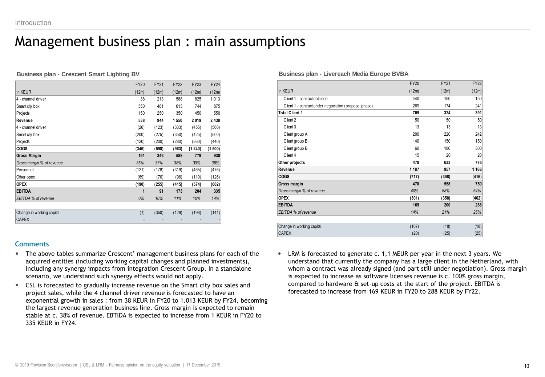### Management business plan : main assumptions

**Business plan - Crescent Smart Lighting BV**

|                           | <b>FY20</b> | <b>FY21</b> | <b>FY22</b> | <b>FY23</b> | <b>FY24</b> |
|---------------------------|-------------|-------------|-------------|-------------|-------------|
| In KEUR                   | (12m)       | (12m)       | (12m)       | (12m)       | (12m)       |
| 4 - channel driver        | 38          | 213         | 588         | 825         | 1013        |
| Smart city box            | 350         | 481         | 613         | 744         | 875         |
| Projects                  | 150         | 250         | 350         | 450         | 550         |
| Revenue                   | 538         | 944         | 1 550       | 2019        | 2 4 3 8     |
| 4 - channel driver        | (26)        | (123)       | (333)       | (455)       | (560)       |
| Smart city box            | (200)       | (275)       | (350)       | (425)       | (500)       |
| Projects                  | (120)       | (200)       | (280)       | (360)       | (440)       |
| COGS                      | (346)       | (598)       | (963)       | (1240)      | (1500)      |
| <b>Gross Margin</b>       | 191         | 346         | 588         | 779         | 938         |
| Gross margin % of revenue | 36%         | 37%         | 38%         | 39%         | 38%         |
| Personnel                 | (121)       | (178)       | (319)       | (465)       | (476)       |
| Other opex                | (69)        | (76)        | (96)        | (110)       | (126)       |
| <b>OPEX</b>               | (190)       | (255)       | (415)       | (574)       | (602)       |
| <b>EBITDA</b>             | 1           | 91          | 173         | 204         | 335         |
| EBITDA % of revenue       | 0%          | 10%         | 11%         | 10%         | 14%         |
|                           |             |             |             |             |             |
| Change in working capital | (1)         | (350)       | (129)       | (196)       | (141)       |
| <b>CAPEX</b>              |             |             |             |             |             |
|                           |             |             |             |             |             |

### **Comments**

- The above tables summarize Crescent' management business plans for each of the acquired entities (including working capital changes and planned investments), including any synergy impacts from integration Crescent Group. In a standalone scenario, we understand such synergy effects would not apply.
- CSL is forecasted to gradually increase revenue on the Smart city box sales and project sales, while the 4 channel driver revenue is forecasted to have an exponential growth in sales : from 38 KEUR in FY20 to 1.013 KEUR by FY24, becoming the largest revenue generation business line. Gross margin is expected to remain stable at c. 38% of revenue. EBTIDA is expected to increase from 1 KEUR in FY20 to 335 KEUR in FY24.

#### **Business plan - Livereach Media Europe BVBA**

|                                                        | <b>FY20</b> | <b>FY21</b> | <b>FY22</b> |
|--------------------------------------------------------|-------------|-------------|-------------|
| In KEUR                                                | (12m)       | (12m)       | (12m)       |
| Client 1 - contract obtained                           | 440         | 150         | 150         |
| Client 1 - contract under negociation (proposal phase) | 269         | 174         | 241         |
| <b>Total Client 1</b>                                  | 709         | 324         | 391         |
| Client 2                                               | 50          | 50          | 50          |
| Client 3                                               | 13          | 13          | 13          |
| Client group A                                         | 200         | 220         | 242         |
| Client group B                                         | 140         | 150         | 150         |
| Client group B                                         | 60          | 180         | 300         |
| Client 4                                               | 15          | 20          | 20          |
| Other projects                                         | 478         | 633         | 775         |
| Revenue                                                | 1 1 8 7     | 957         | 1 1 6 6     |
| COGS                                                   | (717)       | (398)       | (416)       |
| Gross margin                                           | 470         | 558         | 750         |
| Gross margin % of revenue                              | 40%         | 58%         | 64%         |
| <b>OPEX</b>                                            | (301)       | (358)       | (462)       |
| <b>EBITDA</b>                                          | 169         | 200         | 288         |
| EBITDA % of revenue                                    | 14%         | 21%         | 25%         |
|                                                        |             |             |             |
| Change in working capital                              | (107)       | (18)        | (18)        |
| <b>CAPEX</b>                                           | (20)        | (25)        | (25)        |

 LRM is forecasted to generate c. 1,1 MEUR per year in the next 3 years. We understand that currently the company has a large client in the Netherland, with whom a contract was already signed (and part still under negotiation). Gross margin is expected to increase as software licenses revenue is c. 100% gross margin, compared to hardware & set-up costs at the start of the project. EBITDA is forecasted to increase from 169 KEUR in FY20 to 288 KEUR by FY22.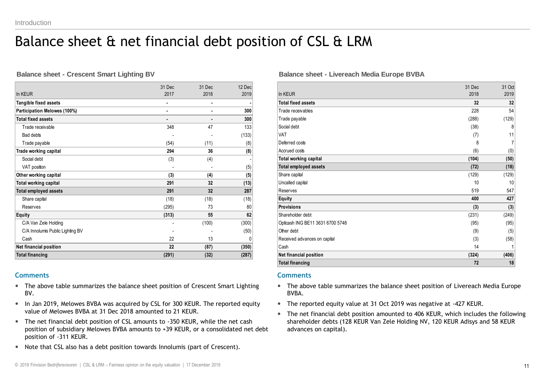# Balance sheet & net financial debt position of CSL & LRM

#### **Balance sheet - Crescent Smart Lighting BV**

|                                  | 31 Dec | 31 Dec | 12 Dec |
|----------------------------------|--------|--------|--------|
| In KEUR                          | 2017   | 2018   | 2019   |
| Tangible fixed assets            |        | ٠      |        |
| Participation Melowes (100%)     | ٠      | ٠      | 300    |
| <b>Total fixed assets</b>        |        |        | 300    |
| Trade receivable                 | 348    | 47     | 133    |
| Bad debts                        |        |        | (133)  |
| Trade payable                    | (54)   | (11)   | (8)    |
| Trade working capital            | 294    | 36     | (8)    |
| Social debt                      | (3)    | (4)    |        |
| VAT position                     |        |        | (5)    |
| Other working capital            | (3)    | (4)    | (5)    |
| Total working capital            | 291    | 32     | (13)   |
| <b>Total employed assets</b>     | 291    | 32     | 287    |
| Share capital                    | (18)   | (18)   | (18)   |
| Reserves                         | (295)  | 73     | 80     |
| <b>Equity</b>                    | (313)  | 55     | 62     |
| C/A Van Zele Holding             |        | (100)  | (300)  |
| C/A Innolumis Public Lighting BV |        |        | (50)   |
| Cash                             | 22     | 13     | 0      |
| Net financial position           | 22     | (87)   | (350)  |
| <b>Total financing</b>           | (291)  | (32)   | (287)  |

### **Comments**

- The above table summarizes the balance sheet position of Crescent Smart Lighting BV.
- In Jan 2019, Melowes BVBA was acquired by CSL for 300 KEUR. The reported equity value of Melowes BVBA at 31 Dec 2018 amounted to 21 KEUR.
- The net financial debt position of CSL amounts to -350 KEUR, while the net cash position of subsidiary Melowes BVBA amounts to +39 KEUR, or a consolidated net debt position of -311 KEUR.
- Note that CSL also has a debt position towards Innolumis (part of Crescent).

### **Balance sheet - Livereach Media Europe BVBA**

|                                  | 31 Dec | 31 Oct |
|----------------------------------|--------|--------|
| In KEUR                          | 2018   | 2019   |
| <b>Total fixed assets</b>        | 32     | 32     |
| Trade receivables                | 228    | 54     |
| Trade payable                    | (288)  | (129)  |
| Social debt                      | (38)   | 8      |
| VAT                              | (7)    | 11     |
| Deferred costs                   | 8      | 7      |
| Accrued costs                    | (6)    | (0)    |
| Total working capital            | (104)  | (50)   |
| <b>Total employed assets</b>     | (72)   | (18)   |
| Share capital                    | (129)  | (129)  |
| Uncalled capital                 | 10     | 10     |
| Reserves                         | 519    | 547    |
| Equity                           | 400    | 427    |
| <b>Provisions</b>                | (3)    | (3)    |
| Shareholder debt                 | (231)  | (249)  |
| Opticash ING BE11 3631 6700 5748 | (95)   | (95)   |
| Other debt                       | (9)    | (5)    |
| Received advances on capital     | (3)    | (58)   |
| <b>Cash</b>                      | 14     |        |
| <b>Net financial position</b>    | (324)  | (406)  |
| <b>Total financing</b>           | 72     | 18     |

#### **Comments**

- The above table summarizes the balance sheet position of Livereach Media Europe BVBA.
- The reported equity value at 31 Oct 2019 was negative at -427 KEUR.
- The net financial debt position amounted to 406 KEUR, which includes the following shareholder debts (128 KEUR Van Zele Holding NV, 120 KEUR Adisys and 58 KEUR advances on capital).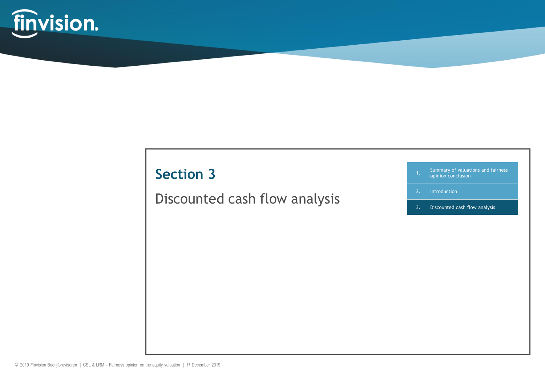

# **Section 3**

# Discounted cash flow analysis

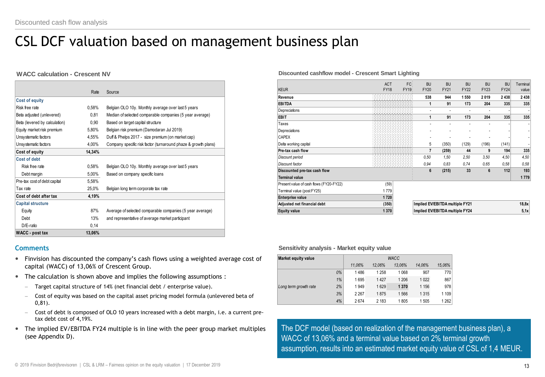# CSL DCF valuation based on management business plan

#### **WACC calculation - Crescent NV**

|                               | Rate   | Source                                                         |
|-------------------------------|--------|----------------------------------------------------------------|
| <b>Cost of equity</b>         |        |                                                                |
| Risk free rate                | 0,58%  | Belgian OLO 10y. Monthly average over last 5 years             |
| Beta adjusted (unlevered)     | 0,81   | Median of selected comparable companies (5 year average)       |
| Beta (levered by calculation) | 0,90   | Based on target capital structure                              |
| Equity market risk premium    | 5,80%  | Belgian risk premium (Damodaran Jul 2019)                      |
| Unsystematic factors          | 4,55%  | Duff & Phelps 2017 - size premium (on market cap)              |
| Unsystematic factors          | 4,00%  | Company specific risk factor (turnaround phaze & growth plans) |
| Cost of equity                | 14,34% |                                                                |
| Cost of debt                  |        |                                                                |
| Risk free rate                | 0,58%  | Belgian OLO 10y. Monthly average over last 5 years             |
| Debt margin                   | 5,00%  | Based on company specific loans                                |
| Pre-tax cost of debt capital  | 5,58%  |                                                                |
| Tax rate                      | 25,0%  | Belgian long term corporate tax rate                           |
| Cost of debt after tax        | 4,19%  |                                                                |
| <b>Capital structure</b>      |        |                                                                |
| Equity                        | 87%    | Average of selected comparable companies (5 year average)      |
| Debt                          | 13%    | and representative of average market participant               |
| D/E-ratio                     | 0,14   |                                                                |
| <b>WACC</b> - post tax        | 13,06% |                                                                |

#### **Comments**

- Finvision has discounted the company's cash flows using a weighted average cost of capital (WACC) of 13,06% of Crescent Group.
- The calculation is shown above and implies the following assumptions :
	- Target capital structure of 14% (net financial debt / enterprise value).
	- Cost of equity was based on the capital asset pricing model formula (unlevered beta of 0,81).
	- Cost of debt is composed of OLO 10 years increased with a debt margin, i.e. a current pretax debt cost of 4,19%.
- The implied EV/EBITDA FY24 multiple is in line with the peer group market multiples (see Appendix D).

#### **Discounted cashflow model - Crescent Smart Lighting**

|                                         | <b>ACT</b>  | FC:   | <b>BU</b>                       | <b>BU</b>   | <b>BU</b>   | <b>BU</b>   |                          |                   |
|-----------------------------------------|-------------|-------|---------------------------------|-------------|-------------|-------------|--------------------------|-------------------|
| <b>KEUR</b>                             | <b>FY18</b> | FY19: | <b>FY20</b>                     | <b>FY21</b> | <b>FY22</b> | <b>FY23</b> | <b>BU</b><br><b>FY24</b> | Terminal<br>value |
| Revenue                                 |             |       | 538                             | 944         | 1 5 5 0     | 2019        | 2 4 3 8                  | 2 4 3 8           |
| <b>EBITDA</b>                           |             |       | 1                               | 91          | 173         | 204         | 335                      | 335               |
| Depreciations                           |             |       | ä,                              | ٠           |             |             |                          |                   |
| EBIT                                    |             |       | 1                               | 91          | 173         | 204         | 335                      | 335               |
| Taxes                                   |             |       |                                 |             |             |             |                          |                   |
| Depreciations                           |             |       |                                 |             |             |             |                          |                   |
| <b>CAPEX</b>                            |             |       | ٠                               |             |             |             |                          |                   |
| Delta working capital                   |             |       | 5                               | (350)       | (129)       | (196)       | (141)                    |                   |
| Pre-tax cash flow                       |             |       | $\overline{7}$                  | (259)       | 44          | 9           | 194                      | 335               |
| Discount period                         |             |       | 0.50                            | 1.50        | 2,50        | 3.50        | 4,50                     | 4,50              |
| Discount factor                         |             |       | 0.94                            | 0.83        | 0.74        | 0.65        | 0,58                     | 0.58              |
| Discounted pre-tax cash flow            |             |       | 6                               | (215)       | 33          | 6           | 112                      | 193               |
| Terminal value                          |             |       |                                 |             |             |             |                          | 1779              |
| Present value of cash flows (FY20-FY22) | (59)        |       |                                 |             |             |             |                          |                   |
| Terminal value (post FY25)              | 1779        |       |                                 |             |             |             |                          |                   |
| <b>Enterprise value</b>                 | 1720        |       |                                 |             |             |             |                          |                   |
| Adjusted net financial debt             | (350)       |       | Implied EV/EBITDA multiple FY21 |             |             |             |                          | 18,8x             |
| <b>Equity value</b>                     | 1370        |       | Implied EV/EBITDA multiple FY24 |             |             |             |                          | 5,1x              |

#### **Sensitivity analysis - Market equity value**

| Market equity value   |    | <b>WACC</b> |         |         |         |         |
|-----------------------|----|-------------|---------|---------|---------|---------|
|                       |    | 11.06%      | 12.06%  | 13.06%  | 14.06%  | 15,06%  |
|                       | 0% | 1486        | 1 2 5 8 | 1068    | 907     | 770     |
|                       | 1% | 1695        | 1427    | 1 206   | 1 0 2 2 | 867     |
| Long term growth rate | 2% | 1949        | 1629    | 1 3 7 0 | 1 1 5 6 | 978     |
|                       | 3% | 2 2 6 7     | 1875    | 1566    | 1 3 1 5 | 1 1 0 9 |
|                       | 4% | 2674        | 2 1 8 3 | 1805    | 1 505   | 1262    |

The DCF model (based on realization of the management business plan), a WACC of 13,06% and a terminal value based on 2% terminal growth assumption, results into an estimated market equity value of CSL of 1,4 MEUR.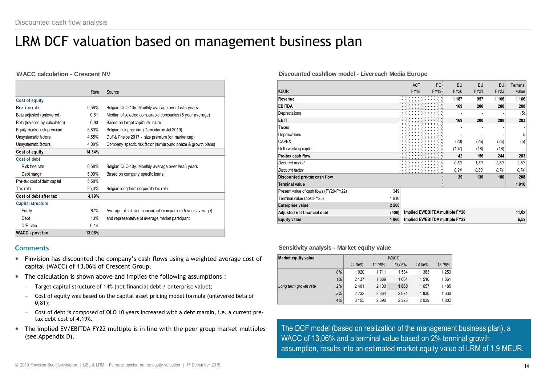# LRM DCF valuation based on management business plan

#### **WACC calculation - Crescent NV**

|                               | Rate   | Source                                                         |
|-------------------------------|--------|----------------------------------------------------------------|
| <b>Cost of equity</b>         |        |                                                                |
| Risk free rate                | 0,58%  | Belgian OLO 10y. Monthly average over last 5 years             |
| Beta adjusted (unlevered)     | 0,81   | Median of selected comparable companies (5 year average)       |
| Beta (levered by calculation) | 0,90   | Based on target capital structure                              |
| Equity market risk premium    | 5,80%  | Belgian risk premium (Damodaran Jul 2019)                      |
| Unsystematic factors          | 4,55%  | Duff & Phelps 2017 - size premium (on market cap)              |
| Unsystematic factors          | 4,00%  | Company specific risk factor (turnaround phaze & growth plans) |
| Cost of equity                | 14,34% |                                                                |
| Cost of debt                  |        |                                                                |
| Risk free rate                | 0,58%  | Belgian OLO 10y. Monthly average over last 5 years             |
| Debt margin                   | 5,00%  | Based on company specific loans                                |
| Pre-tax cost of debt capital  | 5,58%  |                                                                |
| Tax rate                      | 25,0%  | Belgian long term corporate tax rate                           |
| Cost of debt after tax        | 4,19%  |                                                                |
| <b>Capital structure</b>      |        |                                                                |
| Equity                        | 87%    | Average of selected comparable companies (5 year average)      |
| Debt                          | 13%    | and representative of average market participant               |
| D/E-ratio                     | 0,14   |                                                                |
| <b>WACC</b> - post tax        | 13,06% |                                                                |

#### **Comments**

- Finvision has discounted the company's cash flows using a weighted average cost of capital (WACC) of 13,06% of Crescent Group.
- The calculation is shown above and implies the following assumptions :
	- Target capital structure of 14% (net financial debt / enterprise value);
	- Cost of equity was based on the capital asset pricing model formula (unlevered beta of 0,81);
	- Cost of debt is composed of OLO 10 years increased with a debt margin, i.e. a current pretax debt cost of 4,19%.
- The implied EV/EBITDA FY22 multiple is in line with the peer group market multiples (see Appendix D).

#### **Discounted cashflow model - Livereach Media Europe**

| <b>KEUR</b>                             |         | <b>ACT</b><br><b>FY18</b>       | FC.<br><b>FY19</b> | <b>BU</b><br><b>FY20</b> | <b>BU</b><br><b>FY21</b> | <b>BU</b><br><b>FY22</b> | Terminal<br>value |
|-----------------------------------------|---------|---------------------------------|--------------------|--------------------------|--------------------------|--------------------------|-------------------|
| Revenue                                 |         |                                 |                    | 1 1 8 7                  | 957                      | 1 1 6 6                  | 1 1 6 6           |
| <b>EBITDA</b>                           |         |                                 |                    | 169                      | 200                      | 288                      | 288               |
| Depreciations                           |         |                                 |                    |                          |                          |                          | (5)               |
| <b>EBIT</b>                             |         |                                 |                    | 169                      | 200                      | 288                      | 283               |
| Taxes                                   |         |                                 |                    |                          |                          |                          |                   |
| Depreciations                           |         |                                 |                    |                          |                          |                          | 5                 |
| <b>CAPEX</b>                            |         |                                 |                    | (20)                     | (25)                     | (25)                     | (5)               |
| Delta working capital                   |         |                                 |                    | (107)                    | (18)                     | (18)                     |                   |
| Pre-tax cash flow                       |         |                                 |                    | 42                       | 156                      | 244                      | 283               |
| Discount period                         |         |                                 |                    | 0.50                     | 1,50                     | 2,50                     | 2,50              |
| Discount factor                         |         |                                 |                    | 0.94                     | 0.83                     | 0,74                     | 0,74              |
| Discounted pre-tax cash flow            |         |                                 |                    | 39                       | 130                      | 180                      | 208               |
| <b>Terminal value</b>                   |         |                                 |                    |                          |                          |                          | 1916              |
| Present value of cash flows (FY20-FY22) | 349     |                                 |                    |                          |                          |                          |                   |
| Terminal value (post FY25)              | 1916    |                                 |                    |                          |                          |                          |                   |
| Enterprise value                        | 2 2 6 6 |                                 |                    |                          |                          |                          |                   |
| Adjusted net financial debt             | (406)   | Implied EV/EBITDA multiple FY20 |                    |                          |                          |                          | 11,0x             |
| <b>Equity value</b>                     | 1860    | Implied EV/EBITDA multiple FY22 |                    |                          |                          | 6,5x                     |                   |

#### **Sensitivity analysis - Market equity value**

| <b>Market equity value</b> |    | <b>WACC</b> |         |         |         |         |  |  |  |  |  |  |
|----------------------------|----|-------------|---------|---------|---------|---------|--|--|--|--|--|--|
|                            |    | 11.06%      | 12.06%  | 13.06%  | 14.06%  | 15,06%  |  |  |  |  |  |  |
|                            | 0% | 1920        | 1711    | 1 5 3 4 | 1 3 8 3 | 1 2 5 3 |  |  |  |  |  |  |
|                            | 1% | 2 1 3 7     | 1889    | 1684    | 1510    | 1361    |  |  |  |  |  |  |
| Long term growth rate      | 2% | 2401        | 2 1 0 3 | 1860    | 1657    | 1485    |  |  |  |  |  |  |
|                            | 3% | 2732        | 2 3 6 4 | 2071    | 1830    | 1630    |  |  |  |  |  |  |
|                            | 4% | 3 1 5 5     | 2690    | 2 3 2 8 | 2 0 3 9 | 1802    |  |  |  |  |  |  |

The DCF model (based on realization of the management business plan), a WACC of 13,06% and a terminal value based on 2% terminal growth assumption, results into an estimated market equity value of LRM of 1,9 MEUR.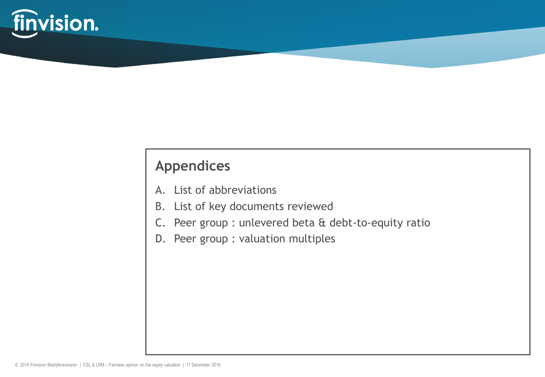

### **Appendices**

- A. List of abbreviations
- B. List of key documents reviewed
- C. Peer group : unlevered beta & debt-to-equity ratio
- D. Peer group : valuation multiples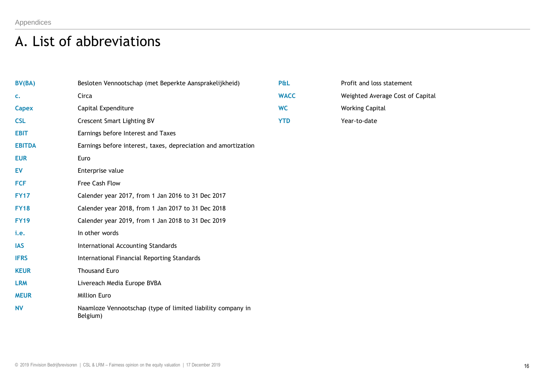# A. List of abbreviations

| BV(BA)        | Besloten Vennootschap (met Beperkte Aansprakelijkheid)                  | P&L         | Profit and loss statement        |
|---------------|-------------------------------------------------------------------------|-------------|----------------------------------|
| c.            | Circa                                                                   | <b>WACC</b> | Weighted Average Cost of Capital |
| Capex         | Capital Expenditure                                                     | <b>WC</b>   | <b>Working Capital</b>           |
| <b>CSL</b>    | <b>Crescent Smart Lighting BV</b>                                       | <b>YTD</b>  | Year-to-date                     |
| <b>EBIT</b>   | Earnings before Interest and Taxes                                      |             |                                  |
| <b>EBITDA</b> | Earnings before interest, taxes, depreciation and amortization          |             |                                  |
| <b>EUR</b>    | Euro                                                                    |             |                                  |
| EV            | Enterprise value                                                        |             |                                  |
| <b>FCF</b>    | Free Cash Flow                                                          |             |                                  |
| <b>FY17</b>   | Calender year 2017, from 1 Jan 2016 to 31 Dec 2017                      |             |                                  |
| <b>FY18</b>   | Calender year 2018, from 1 Jan 2017 to 31 Dec 2018                      |             |                                  |
| <b>FY19</b>   | Calender year 2019, from 1 Jan 2018 to 31 Dec 2019                      |             |                                  |
| i.e.          | In other words                                                          |             |                                  |
| <b>IAS</b>    | International Accounting Standards                                      |             |                                  |
| <b>IFRS</b>   | International Financial Reporting Standards                             |             |                                  |
| <b>KEUR</b>   | <b>Thousand Euro</b>                                                    |             |                                  |
| <b>LRM</b>    | Livereach Media Europe BVBA                                             |             |                                  |
| <b>MEUR</b>   | <b>Million Euro</b>                                                     |             |                                  |
| <b>NV</b>     | Naamloze Vennootschap (type of limited liability company in<br>Belgium) |             |                                  |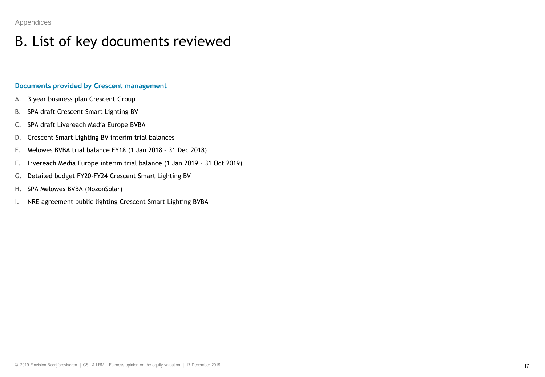# B. List of key documents reviewed

### **Documents provided by Crescent management**

- A. 3 year business plan Crescent Group
- B. SPA draft Crescent Smart Lighting BV
- C. SPA draft Livereach Media Europe BVBA
- D. Crescent Smart Lighting BV interim trial balances
- E. Melowes BVBA trial balance FY18 (1 Jan 2018 31 Dec 2018)
- F. Livereach Media Europe interim trial balance (1 Jan 2019 31 Oct 2019)
- G. Detailed budget FY20-FY24 Crescent Smart Lighting BV
- H. SPA Melowes BVBA (NozonSolar)
- I. NRE agreement public lighting Crescent Smart Lighting BVBA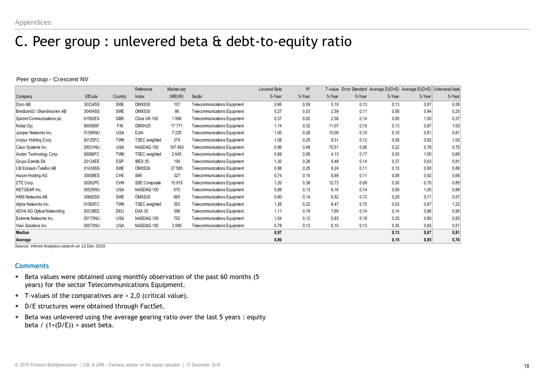### C. Peer group : unlevered beta & debt-to-equity ratio

#### **Peer group - Crescent NV**

| Peer group - Crescent NV          |         |            |                      |            |                                     |              |        |        |        |        |                                                                       |        |
|-----------------------------------|---------|------------|----------------------|------------|-------------------------------------|--------------|--------|--------|--------|--------|-----------------------------------------------------------------------|--------|
|                                   |         |            | Reference            | Market cap |                                     | Levered Beta | $R^2$  |        |        |        | T-value Error Standard Average D/(D+E) Average E/(D+E) Unlevered beta |        |
| Company                           | EfCode  | Country    | Index                | (MEUR)     | Sector                              | 5-Year       | 5-Year | 5-Year | 5-Year | 5-Year | 5-Year                                                                | 5-Year |
| Doro AB                           | 30234SS | <b>SWE</b> | OMXS30               | 107        | Telecommunications Equipment        | 0,66         | 0,09   | 5,19   | 0,13   | 0,13   | 0,87                                                                  | 0,58   |
| Bredband2 i Skandinavien AB       | 30454SS | SWE        | OMXS30               | 86         | <b>Telecommunications Equipment</b> | 0,27         | 0,03   | 2,59   | 0,11   | 0,06   | 0,94                                                                  | 0,25   |
| Spirent Communications plc        | 01562EX | <b>GBR</b> | Choe UK 100          | 1566       | <b>Telecommunications Equipment</b> | 0,37         | 0,02   | 2,58   | 0,14   | 0,00   | 1,00                                                                  | 0,37   |
| Nokia Ovi                         | 90006SF | <b>FIN</b> | OMXH <sub>25</sub>   | 17 771     | Telecommunications Equipment        | 1,14         | 0,32   | 11,07  | 0,10   | 0,13   | 0,87                                                                  | 1,00   |
| Juniper Networks Inc.             | 31395NU | <b>USA</b> | <b>DJIA</b>          | 7 2 2 5    | <b>Telecommunications Equipment</b> | 1,00         | 0,28   | 10,09  | 0,10   | 0,19   | 0,81                                                                  | 0,81   |
| Unizyx Holding Corp.              | 30125FC | <b>TWN</b> | TSEC weighted        | 274        | <b>Telecommunications Equipment</b> | 1,08         | 0,25   | 9,31   | 0,12   | 0,08   | 0,92                                                                  | 1,00   |
| Cisco Systems Inc.                | 30031NU | <b>USA</b> | NASDAQ 100           | 167 493    | <b>Telecommunications Equipment</b> | 0,96         | 0,48   | 15.51  | 0,06   | 0,22   | 0,78                                                                  | 0,75   |
| Accton Technology Corp.           | 30066FC | <b>TWN</b> | <b>TSEC</b> weighted | 2645       | <b>Telecommunications Equipment</b> | 0,69         | 0,06   | 4,13   | 0,17   | 0,00   | 1,00                                                                  | 0,69   |
| Grupo Ezentis SA                  | 20124EE | ESP        | IBEX 35              | 156        | <b>Telecommunications Equipment</b> | 1,30         | 0,26   | 9,48   | 0,14   | 0,37   | 0.63                                                                  | 0,81   |
| <b>LM Ericsson Telefon AB</b>     | 01439SS | <b>SWE</b> | OMXS30               | 27 565     | <b>Telecommunications Equipment</b> | 0,98         | 0,25   | 9,24   | 0,11   | 0,10   | 0,90                                                                  | 0,88   |
| Ascom Holding AG                  | 30008ES | CHE        | <b>SMI</b>           | 327        | <b>Telecommunications Equipment</b> | 0,74         | 0,15   | 6.69   | 0,11   | 0.08   | 0,92                                                                  | 0,68   |
| ZTE Corp.                         | 30262PC | <b>CHN</b> | <b>SSE Composite</b> | 15 915     | <b>Telecommunications Equipment</b> | 1,20         | 0,38   | 12,73  | 0,09   | 0,30   | 0,70                                                                  | 0,85   |
| NETGEAR Inc.                      | 35525NU | <b>USA</b> | NASDAQ 100           | 670        | <b>Telecommunications Equipment</b> | 0,88         | 0,13   | 6,16   | 0,14   | 0,00   | 1,00                                                                  | 0,88   |
| HMS Networks AB                   | 30682SS | <b>SWE</b> | OMXS30               | 665        | <b>Telecommunications Equipment</b> | 0,80         | 0,14   | 6,52   | 0,12   | 0,29   | 0,71                                                                  | 0,57   |
| Alpha Networks Inc.               | 31083FC | <b>TWN</b> | <b>TSEC</b> weighted | 353        | <b>Telecommunications Equipment</b> | 1,26         | 0,22   | 8,47   | 0,15   | 0,03   | 0,97                                                                  | 1,22   |
| <b>ADVA AG Optical Networking</b> | 30318ED | <b>DEU</b> | <b>DAX 30</b>        | 396        | <b>Telecommunications Equipment</b> | 1,11         | 0,19   | 7.69   | 0,14   | 0,14   | 0,86                                                                  | 0,95   |
| Extreme Networks Inc.             | 35173NU | <b>USA</b> | NASDAQ 100           | 752        | <b>Telecommunications Equipment</b> | 1,04         | 0,12   | 5,83   | 0,18   | 0,20   | 0.80                                                                  | 0,83   |
| Viavi Solutions Inc.              | 30573NU | <b>USA</b> | NASDAQ 100           | 3 0 9 0    | <b>Telecommunications Equipment</b> | 0,78         | 0,13   | 6,10   | 0,13   | 0,35   | 0.65                                                                  | 0,51   |
| Median                            |         |            |                      |            |                                     | 0,97         |        |        |        | 0,13   | 0,87                                                                  | 0,81   |
| Average                           |         |            |                      |            |                                     | 0,90         |        |        |        | 0,15   | 0,85                                                                  | 0,76   |

Source: Infront Analytics search on 12 Dec 2019

#### **Comments**

- Beta values were obtained using monthly observation of the past 60 months (5 years) for the sector Telecommunications Equipment.
- T-values of the comparatives are > 2,0 (critical value).
- D/E structures were obtained through FactSet.
- Beta was unlevered using the average gearing ratio over the last 5 years : equity beta /  $(1+(D/E))$  = asset beta.